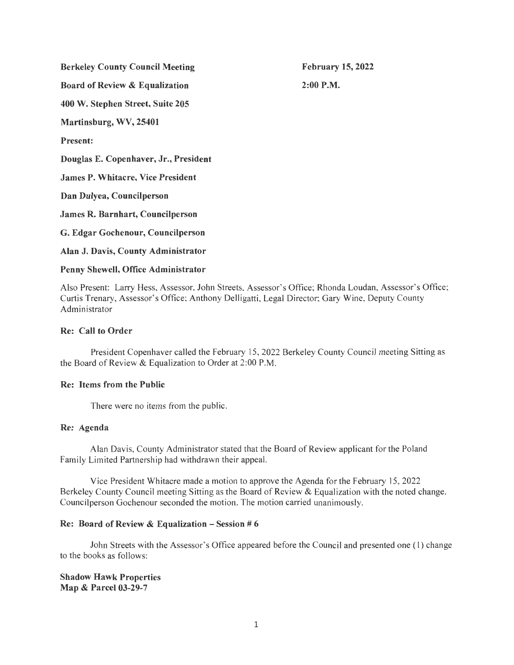Berkeley County Council Meeting

February 15, 2022

2:00P.M.

Board of Review & Equalization 400 W. Stephen Street, Suite 205

Martinsburg, WV, 25401

Present:

Douglas E. Copenhaver, Jr., President

James P. Whitacre, Vice President

Dan Dulyea, Councilperson

James R. Barnhart, Councilperson

G. Edgar Gochenour, Councilperson

Alan J. Davis, County Administrator

### Penny Shewell, Office Administrator

Also Present: Larry Hess, Assessor, John Streets, Assessor's Office; Rhonda Loudan, Assessor's Office; Curtis Trenary, Assessor's Office; Anthony Delligatti, Legal Director; Gary Wine, Deputy County Administrator

### Re: Call to Order

President Copenhaver called the February 15, 2022 Berkeley County Council meeting Sitting as the Board of Review & Equalization to Order at 2:00 P.M.

# Re: Items from the Public

There were no items from the public.

# Re: Agenda

Alan Davis, County Administrator stated that the Board of Review applicant for the Poland Family Limited Partnership had withdrawn their appeal.

Vice President Whitacre made a motion to approve the Agenda for the February 15, 2022 Berkeley County Council meeting Sitting as the Board of Review & Equalization with the noted change. Councilperson Gochenour seconded the motion. The motion carried unanimously.

### Re: Board of Review & Equalization  $-$  Session # 6

John Streets with the Assessor's Office appeared before the Council and presented one (1) change to the books as follows:

Shadow Hawk Properties Map & Parcel 03-29-7